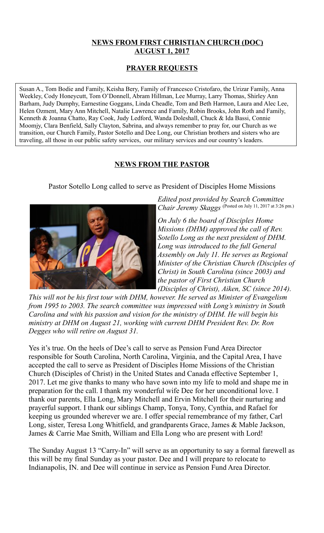### **NEWS FROM FIRST CHRISTIAN CHURCH (DOC) AUGUST 1, 2017**

### **PRAYER REQUESTS**

Susan A., Tom Bodie and Family, Keisha Bery, Family of Francesco Cristofaro, the Urizar Family, Anna Weekley, Cody Honeycutt, Tom O'Donnell, Abram Hillman, Lee Murray, Larry Thomas, Shirley Ann Barham, Judy Dumphy, Earnestine Goggans, Linda Cheadle, Tom and Beth Harmon, Laura and Alec Lee, Helen Ozment, Mary Ann Mitchell, Natalie Lawrence and Family, Robin Brooks, John Roth and Family, Kenneth & Joanna Chatto, Ray Cook, Judy Ledford, Wanda Doleshall, Chuck & Ida Bassi, Connie Moomjy, Clara Benfield, Sally Clayton, Sabrina, and always remember to pray for, our Church as we transition, our Church Family, Pastor Sotello and Dee Long, our Christian brothers and sisters who are traveling, all those in our public safety services, our military services and our country's leaders.

## **NEWS FROM THE PASTOR**

Pastor Sotello Long called to serve as President of Disciples Home Missions



*Edited post provided by Search Committee Chair Jeremy Skaggs* (Posted on July 11, 2017 at 3:26 pm.)

*On July 6 the board of Disciples Home Missions (DHM) approved the call of Rev. Sotello Long as the next president of DHM. Long was introduced to the full General Assembly on July 11. He serves as Regional Minister of the Christian Church (Disciples of Christ) in South Carolina (since 2003) and the pastor of First Christian Church (Disciples of Christ), Aiken, SC (since 2014).* 

*This will not be his first tour with DHM, however. He served as Minister of Evangelism from 1995 to 2003. The search committee was impressed with Long's ministry in South Carolina and with his passion and vision for the ministry of DHM. He will begin his ministry at DHM on August 21, working with current DHM President Rev. Dr. Ron Degges who will retire on August 31.*

Yes it's true. On the heels of Dee's call to serve as Pension Fund Area Director responsible for South Carolina, North Carolina, Virginia, and the Capital Area, I have accepted the call to serve as President of Disciples Home Missions of the Christian Church (Disciples of Christ) in the United States and Canada effective September 1, 2017. Let me give thanks to many who have sown into my life to mold and shape me in preparation for the call. I thank my wonderful wife Dee for her unconditional love. I thank our parents, Ella Long, Mary Mitchell and Ervin Mitchell for their nurturing and prayerful support. I thank our siblings Champ, Tonya, Tony, Cynthia, and Rafael for keeping us grounded wherever we are. I offer special remembrance of my father, Carl Long, sister, Teresa Long Whitfield, and grandparents Grace, James & Mable Jackson, James & Carrie Mae Smith, William and Ella Long who are present with Lord!

The Sunday August 13 "Carry-In" will serve as an opportunity to say a formal farewell as this will be my final Sunday as your pastor. Dee and I will prepare to relocate to Indianapolis, IN. and Dee will continue in service as Pension Fund Area Director.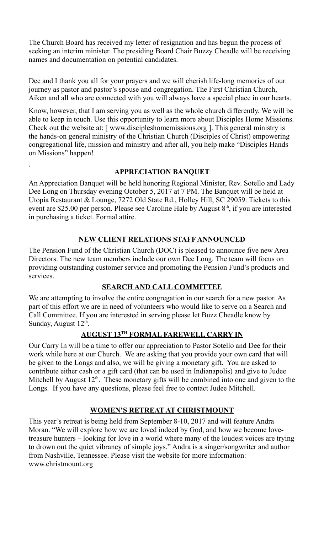The Church Board has received my letter of resignation and has begun the process of seeking an interim minister. The presiding Board Chair Buzzy Cheadle will be receiving names and documentation on potential candidates.

Dee and I thank you all for your prayers and we will cherish life-long memories of our journey as pastor and pastor's spouse and congregation. The First Christian Church, Aiken and all who are connected with you will always have a special place in our hearts.

Know, however, that I am serving you as well as the whole church differently. We will be able to keep in touch. Use this opportunity to learn more about Disciples Home Missions. Check out the website at: [ www.discipleshomemissions.org ]. This general ministry is the hands-on general ministry of the Christian Church (Disciples of Christ) empowering congregational life, mission and ministry and after all, you help make "Disciples Hands on Missions" happen!

## **APPRECIATION BANQUET**

,

An Appreciation Banquet will be held honoring Regional Minister, Rev. Sotello and Lady Dee Long on Thursday evening October 5, 2017 at 7 PM. The Banquet will be held at Utopia Restaurant & Lounge, 7272 Old State Rd., Holley Hill, SC 29059. Tickets to this event are \$25.00 per person. Please see Caroline Hale by August 8<sup>th</sup>, if you are interested in purchasing a ticket. Formal attire.

## **NEW CLIENT RELATIONS STAFF ANNOUNCED**

The Pension Fund of the Christian Church (DOC) is pleased to announce five new Area Directors. The new team members include our own Dee Long. The team will focus on providing outstanding customer service and promoting the Pension Fund's products and services.

# **SEARCH AND CALL COMMITTEE**

We are attempting to involve the entire congregation in our search for a new pastor. As part of this effort we are in need of volunteers who would like to serve on a Search and Call Committee. If you are interested in serving please let Buzz Cheadle know by Sunday, August 12<sup>th</sup>.

# **AUGUST 13TH FORMAL FAREWELL CARRY IN**

Our Carry In will be a time to offer our appreciation to Pastor Sotello and Dee for their work while here at our Church. We are asking that you provide your own card that will be given to the Longs and also, we will be giving a monetary gift. You are asked to contribute either cash or a gift card (that can be used in Indianapolis) and give to Judee Mitchell by August  $12<sup>th</sup>$ . These monetary gifts will be combined into one and given to the Longs. If you have any questions, please feel free to contact Judee Mitchell.

# **WOMEN'S RETREAT AT CHRISTMOUNT**

This year's retreat is being held from September 8-10, 2017 and will feature Andra Moran. "We will explore how we are loved indeed by God, and how we become lovetreasure hunters – looking for love in a world where many of the loudest voices are trying to drown out the quiet vibrancy of simple joys." Andra is a singer/songwriter and author from Nashville, Tennessee. Please visit the website for more information: www.christmount.org